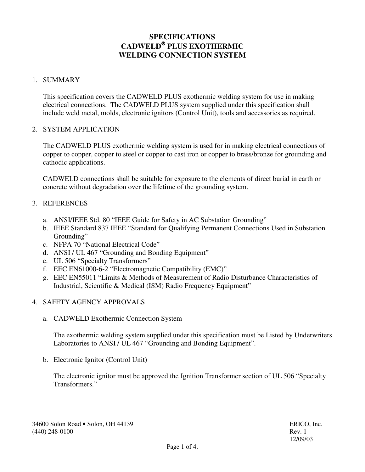# **SPECIFICATIONS CADWELD PLUS EXOTHERMIC WELDING CONNECTION SYSTEM**

## 1. SUMMARY

This specification covers the CADWELD PLUS exothermic welding system for use in making electrical connections. The CADWELD PLUS system supplied under this specification shall include weld metal, molds, electronic ignitors (Control Unit), tools and accessories as required.

### 2. SYSTEM APPLICATION

The CADWELD PLUS exothermic welding system is used for in making electrical connections of copper to copper, copper to steel or copper to cast iron or copper to brass/bronze for grounding and cathodic applications.

CADWELD connections shall be suitable for exposure to the elements of direct burial in earth or concrete without degradation over the lifetime of the grounding system.

### 3. REFERENCES

- a. ANSI/IEEE Std. 80 "IEEE Guide for Safety in AC Substation Grounding"
- b. IEEE Standard 837 IEEE "Standard for Qualifying Permanent Connections Used in Substation Grounding"
- c. NFPA 70 "National Electrical Code"
- d. ANSI / UL 467 "Grounding and Bonding Equipment"
- e. UL 506 "Specialty Transformers"
- f. EEC EN61000-6-2 "Electromagnetic Compatibility (EMC)"
- g. EEC EN55011 "Limits & Methods of Measurement of Radio Disturbance Characteristics of Industrial, Scientific & Medical (ISM) Radio Frequency Equipment"

### 4. SAFETY AGENCY APPROVALS

a. CADWELD Exothermic Connection System

The exothermic welding system supplied under this specification must be Listed by Underwriters Laboratories to ANSI / UL 467 "Grounding and Bonding Equipment".

b. Electronic Ignitor (Control Unit)

The electronic ignitor must be approved the Ignition Transformer section of UL 506 "Specialty Transformers."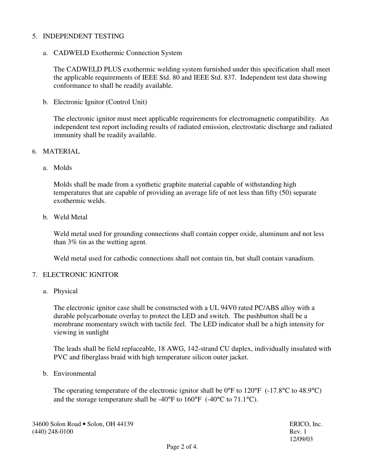### 5. INDEPENDENT TESTING

a. CADWELD Exothermic Connection System

The CADWELD PLUS exothermic welding system furnished under this specification shall meet the applicable requirements of IEEE Std. 80 and IEEE Std. 837. Independent test data showing conformance to shall be readily available.

b. Electronic Ignitor (Control Unit)

The electronic ignitor must meet applicable requirements for electromagnetic compatibility. An independent test report including results of radiated emission, electrostatic discharge and radiated immunity shall be readily available.

#### 6. MATERIAL

a. Molds

Molds shall be made from a synthetic graphite material capable of withstanding high temperatures that are capable of providing an average life of not less than fifty (50) separate exothermic welds.

b. Weld Metal

Weld metal used for grounding connections shall contain copper oxide, aluminum and not less than 3% tin as the wetting agent.

Weld metal used for cathodic connections shall not contain tin, but shall contain vanadium.

#### 7. ELECTRONIC IGNITOR

a. Physical

The electronic ignitor case shall be constructed with a UL 94V0 rated PC/ABS alloy with a durable polycarbonate overlay to protect the LED and switch. The pushbutton shall be a membrane momentary switch with tactile feel. The LED indicator shall be a high intensity for viewing in sunlight

The leads shall be field replaceable, 18 AWG, 142-strand CU duplex, individually insulated with PVC and fiberglass braid with high temperature silicon outer jacket.

b. Environmental

The operating temperature of the electronic ignitor shall be  $0^{\circ}$ F to  $120^{\circ}$ F (-17.8°C to 48.9°C) and the storage temperature shall be -40°F to 160°F (-40°C to 71.1°C).

34600 Solon Road • Solon, OH 44139 ERICO, Inc. (440) 248-0100 Rev. 1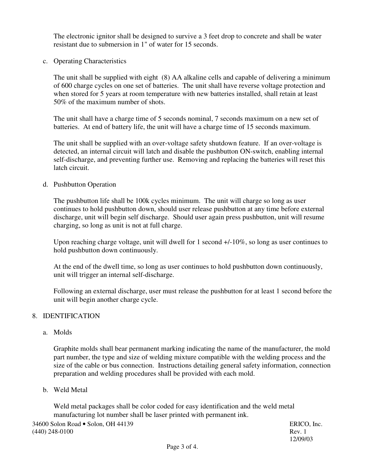The electronic ignitor shall be designed to survive a 3 feet drop to concrete and shall be water resistant due to submersion in 1" of water for 15 seconds.

c. Operating Characteristics

The unit shall be supplied with eight (8) AA alkaline cells and capable of delivering a minimum of 600 charge cycles on one set of batteries. The unit shall have reverse voltage protection and when stored for 5 years at room temperature with new batteries installed, shall retain at least 50% of the maximum number of shots.

The unit shall have a charge time of 5 seconds nominal, 7 seconds maximum on a new set of batteries. At end of battery life, the unit will have a charge time of 15 seconds maximum.

The unit shall be supplied with an over-voltage safety shutdown feature. If an over-voltage is detected, an internal circuit will latch and disable the pushbutton ON-switch, enabling internal self-discharge, and preventing further use. Removing and replacing the batteries will reset this latch circuit.

d. Pushbutton Operation

The pushbutton life shall be 100k cycles minimum. The unit will charge so long as user continues to hold pushbutton down, should user release pushbutton at any time before external discharge, unit will begin self discharge. Should user again press pushbutton, unit will resume charging, so long as unit is not at full charge.

Upon reaching charge voltage, unit will dwell for 1 second  $+/-10\%$ , so long as user continues to hold pushbutton down continuously.

At the end of the dwell time, so long as user continues to hold pushbutton down continuously, unit will trigger an internal self-discharge.

Following an external discharge, user must release the pushbutton for at least 1 second before the unit will begin another charge cycle.

### 8. IDENTIFICATION

a. Molds

Graphite molds shall bear permanent marking indicating the name of the manufacturer, the mold part number, the type and size of welding mixture compatible with the welding process and the size of the cable or bus connection. Instructions detailing general safety information, connection preparation and welding procedures shall be provided with each mold.

b. Weld Metal

Weld metal packages shall be color coded for easy identification and the weld metal manufacturing lot number shall be laser printed with permanent ink.

34600 Solon Road • Solon, OH 44139 ERICO, Inc. (440) 248-0100 Rev. 1

12/09/03